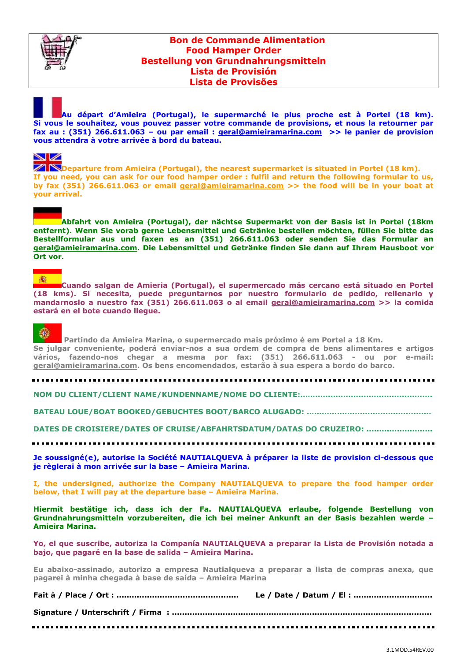

## **Bon de Commande Alimentation Food Hamper Order Bestellung von Grundnahrungsmitteln Lista de Provisión Lista de Provisões**

**Au départ d'Amieira (Portugal), le supermarché le plus proche est à Portel (18 km). Si vous le souhaitez, vous pouvez passer votre commande de provisions, et nous la retourner par fax au : (351) 266.611.063 – ou par email : [geral@amieiramarina.com](mailto:geral@amieiramarina.com) >> le panier de provision vous attendra à votre arrivée à bord du bateau.**

### ◥◿

**ZIN** Departure from Amieira (Portugal), the nearest supermarket is situated in Portel (18 km). **If you need, you can ask for our food hamper order : fulfil and return the following formular to us, by fax (351) 266.611.063 or email [geral@amieiramarina.com](mailto:geral@amieiramarina.com) >> the food will be in your boat at your arrival.**

**Abfahrt von Amieira (Portugal), der nächtse Supermarkt von der Basis ist in Portel (18km entfernt). Wenn Sie vorab gerne Lebensmittel und Getränke bestellen möchten, füllen Sie bitte das Bestellformular aus und faxen es an (351) 266.611.063 oder senden Sie das Formular an [geral@amieiramarina.com.](mailto:geral@amieiramarina.com) Die Lebensmittel und Getränke finden Sie dann auf Ihrem Hausboot vor Ort vor.** 

### 譱

**Cuando salgan de Amieria (Portugal), el supermercado más cercano está situado en Portel (18 kms). Si necesita, puede preguntarnos por nuestro formulario de pedido, rellenarlo y mandarnoslo a nuestro fax (351) 266.611.063 o al email [geral@amieiramarina.com](mailto:geral@amieiramarina.com) >> la comida estará en el bote cuando llegue.**

# €

**Partindo da Amieira Marina, o supermercado mais próximo é em Portel a 18 Km. Se julgar conveniente, poderá enviar-nos a sua ordem de compra de bens alimentares e artigos vários, fazendo-nos chegar a mesma por fax: (351) 266.611.063 - ou por e-mail: [geral@amieiramarina.com.](mailto:geral@amieiramarina.com) Os bens encomendados, estarão à sua espera a bordo do barco.**

**NOM DU CLIENT/CLIENT NAME/KUNDENNAME/NOME DO CLIENTE:……..............................................**

**BATEAU LOUE/BOAT BOOKED/GEBUCHTES BOOT/BARCO ALUGADO: …..............................................**

**DATES DE CROISIERE/DATES OF CRUISE/ABFAHRTSDATUM/DATAS DO CRUZEIRO: ..........................**

**Je soussigné(e), autorise la Société NAUTIALQUEVA à préparer la liste de provision ci-dessous que je règlerai à mon arrivée sur la base – Amieira Marina.**

**I, the undersigned, authorize the Company NAUTIALQUEVA to prepare the food hamper order below, that I will pay at the departure base – Amieira Marina.**

**Hiermit bestätige ich, dass ich der Fa. NAUTIALQUEVA erlaube, folgende Bestellung von Grundnahrungsmitteln vorzubereiten, die ich bei meiner Ankunft an der Basis bezahlen werde – Amieira Marina.** 

**Yo, el que suscribe, autoriza la Companía NAUTIALQUEVA a preparar la Lista de Provisión notada a bajo, que pagaré en la base de salida – Amieira Marina.**

**Eu abaixo-assinado, autorizo a empresa Nautialqueva a preparar a lista de compras anexa, que pagarei à minha chegada à base de saída – Amieira Marina**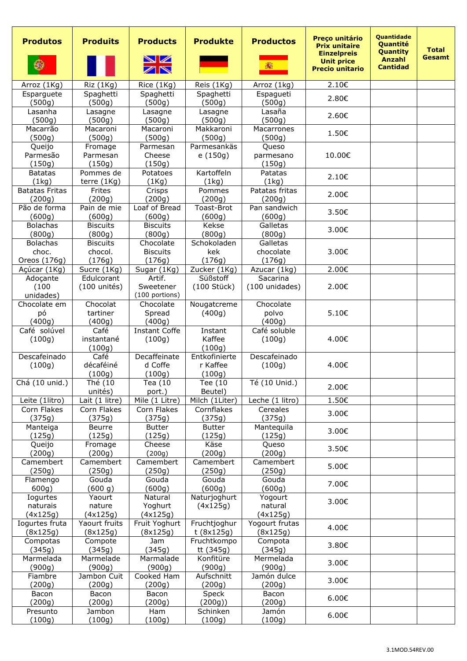| <b>Produtos</b>                          | <b>Produits</b>                      | <b>Products</b><br>NИ<br>ZN            | <b>Produkte</b>                     | <b>Productos</b><br>譱           | Preço unitário<br><b>Prix unitaire</b><br><b>Einzelpreis</b><br><b>Unit price</b><br><b>Precio unitario</b> | <b>Quantidade</b><br><b>Quantité</b><br><b>Quantity</b><br>Anzahl<br><b>Cantidad</b> | <b>Total</b><br><b>Gesamt</b> |
|------------------------------------------|--------------------------------------|----------------------------------------|-------------------------------------|---------------------------------|-------------------------------------------------------------------------------------------------------------|--------------------------------------------------------------------------------------|-------------------------------|
| Arroz (1Kg)                              | Riz (1Kg)                            | Rice (1Kg)                             | Reis (1Kg)                          | Arroz (1kg)                     | 2.10€                                                                                                       |                                                                                      |                               |
| Esparguete<br>(500g)                     | Spaghetti<br>(500g)                  | Spaghetti<br>(500g)                    | Spaghetti<br>(500g)                 | Espagueti<br>(500g)             | 2.80€                                                                                                       |                                                                                      |                               |
| Lasanha<br>(500g)                        | Lasagne<br>(500g)                    | Lasagne<br>(500g)                      | Lasagne<br>(500g)                   | Lasaña<br>(500g)                | 2.60€                                                                                                       |                                                                                      |                               |
| Macarrão<br>(500g)                       | Macaroni<br>(500g)                   | Macaroni<br>(500g)                     | Makkaroni<br>(500g)                 | Macarrones<br>(500g)            | 1.50€                                                                                                       |                                                                                      |                               |
| Queijo<br>Parmesão<br>(150g)             | Fromage<br>Parmesan<br>(150g)        | Parmesan<br>Cheese<br>(150g)           | Parmesankäs<br>e (150g)             | Queso<br>parmesano<br>(150g)    | 10.00€                                                                                                      |                                                                                      |                               |
| <b>Batatas</b><br>(1kg)                  | Pommes de<br>terre $(1Kg)$           | Potatoes<br>(1Kq)                      | Kartoffeln<br>(1kg)                 | Patatas<br>(1kg)                | 2.10€                                                                                                       |                                                                                      |                               |
| <b>Batatas Fritas</b><br>(200g)          | Frites<br>(200g)                     | Crisps<br>(200g)                       | Pommes<br>(200g)                    | Patatas fritas<br>(200g)        | 2.00€                                                                                                       |                                                                                      |                               |
| Pão de forma<br>(600g)                   | Pain de mie<br>(600g)                | Loaf of Bread<br>(600q)                | Toast-Brot<br>(600g)                | Pan sandwich<br>(600g)          | 3.50€                                                                                                       |                                                                                      |                               |
| <b>Bolachas</b>                          | <b>Biscuits</b>                      | <b>Biscuits</b>                        | Kekse                               | Galletas                        | 3.00€                                                                                                       |                                                                                      |                               |
| (800g)                                   | (800g)                               | (800q)                                 | (800g)                              | (800g)                          |                                                                                                             |                                                                                      |                               |
| <b>Bolachas</b><br>choc.<br>Oreos (176g) | <b>Biscuits</b><br>chocol.<br>(176g) | Chocolate<br><b>Biscuits</b><br>(176g) | Schokoladen<br>kek<br>(176g)        | Galletas<br>chocolate<br>(176g) | 3.00€                                                                                                       |                                                                                      |                               |
| Açúcar (1Kg)                             | Sucre (1Kg)                          | Sugar (1Kg)                            | Zucker (1Kg)                        | Azucar (1kg)                    | 2.00€                                                                                                       |                                                                                      |                               |
| Adoçante                                 | Edulcorant                           | Artif.                                 | Süßstoff                            | Sacarina                        |                                                                                                             |                                                                                      |                               |
| (100)<br>unidades)                       | $(100 \text{ units})$                | Sweetener<br>(100 portions)            | (100 Stück)                         | (100 unidades)                  | 2.00€                                                                                                       |                                                                                      |                               |
| Chocolate em                             | Chocolat                             | Chocolate                              | Nougatcreme                         | Chocolate                       |                                                                                                             |                                                                                      |                               |
| рó<br>(400q)                             | tartiner<br>(400g)                   | Spread<br>(400q)                       | (400g)                              | polvo<br>(400g)                 | 5.10€                                                                                                       |                                                                                      |                               |
| Café solúvel<br>(100g)                   | Café<br>instantané                   | <b>Instant Coffe</b><br>(100g)         | Instant<br>Kaffee                   | Café soluble<br>(100g)          | 4.00€                                                                                                       |                                                                                      |                               |
|                                          | (100q)                               |                                        | (100q)                              |                                 |                                                                                                             |                                                                                      |                               |
| Descafeinado<br>(100g)                   | Café<br>décaféiné<br>(100g)          | Decaffeinate<br>d Coffe<br>(100g)      | Entkofinierte<br>r Kaffee<br>(100g) | Descafeinado<br>(100g)          | 4.00€                                                                                                       |                                                                                      |                               |
| Chá (10 unid.)                           | Thé (10<br>unités)                   | Tea $(10$<br>port.)                    | Tee (10<br>Beutel)                  | Té (10 Unid.)                   | 2.00€                                                                                                       |                                                                                      |                               |
| Leite (1litro)                           | Lait (1 litre)                       | Mile (1 Litre)                         | Milch (1Liter)                      | Leche (1 litro)                 | 1.50€                                                                                                       |                                                                                      |                               |
| Corn Flakes<br>(375g)                    | Corn Flakes<br>(375g)                | Corn Flakes<br>(375g)                  | Cornflakes<br>(375g)                | Cereales<br>(375q)              | 3.00€                                                                                                       |                                                                                      |                               |
| Manteiga                                 | Beurre                               | <b>Butter</b>                          | <b>Butter</b>                       | Mantequila                      |                                                                                                             |                                                                                      |                               |
| (125g)                                   | (125g)                               | (125g)                                 | (125g)                              | (125g)                          | 3.00€                                                                                                       |                                                                                      |                               |
| Queijo<br>(200g)                         | Fromage<br>(200g)                    | Cheese<br>(200q)                       | Käse<br>(200g)                      | Queso<br>(200g)                 | 3.50€                                                                                                       |                                                                                      |                               |
| Camembert<br>(250g)                      | Camembert<br>(250g)                  | Camembert<br>(250g)                    | Camembert<br>(250g)                 | Camembert<br>(250g)             | 5.00€                                                                                                       |                                                                                      |                               |
| Flamengo<br>600g)                        | Gouda<br>(600 g)                     | Gouda<br>(600g)                        | Gouda<br>(600g)                     | Gouda<br>(600g)                 | 7.00€                                                                                                       |                                                                                      |                               |
| Iogurtes<br>naturais                     | Yaourt<br>nature                     | Natural<br>Yoghurt                     | Naturjoghurt<br>(4x125g)            | Yogourt<br>natural              | 3.00€                                                                                                       |                                                                                      |                               |
| (4x125g)                                 | (4x125g)<br>Yaourt fruits            | (4x125g)<br>Fruit Yoghurt              | Fruchtjoghur                        | (4x125g)<br>Yogourt frutas      |                                                                                                             |                                                                                      |                               |
| Iogurtes fruta<br>(8x125g)               | (8x125g)                             | (8x125g)                               | t(8x125g)                           | (8x125g)                        | 4.00€                                                                                                       |                                                                                      |                               |
| Compotas<br>(345g)                       | Compote<br>(345g)                    | Jam<br>(345g)                          | Fruchtkompo<br>tt (345g)            | Compota<br>(345g)               | 3.80€                                                                                                       |                                                                                      |                               |
| Marmelada<br>(900g)                      | Marmelade<br>(900g)                  | Marmalade<br>(900g)                    | Konfitüre<br>(900g)                 | Mermelada<br>(900g)             | 3.00€                                                                                                       |                                                                                      |                               |
| Fiambre<br>(200g)                        | Jambon Cuit<br>(200g)                | Cooked Ham<br>(200g)                   | Aufschnitt<br>(200g)                | Jamón dulce<br>(200g)           | 3.00€                                                                                                       |                                                                                      |                               |
| Bacon<br>(200g)                          | Bacon<br>(200g)                      | Bacon<br>(200g)                        | Speck<br>(200g))                    | Bacon<br>(200g)                 | 6.00€                                                                                                       |                                                                                      |                               |
| Presunto                                 | Jambon                               | Ham                                    | Schinken                            | Jamón                           | 6.00€                                                                                                       |                                                                                      |                               |
| (100g)                                   | (100g)                               | (100g)                                 | (100g)                              | (100g)                          |                                                                                                             |                                                                                      |                               |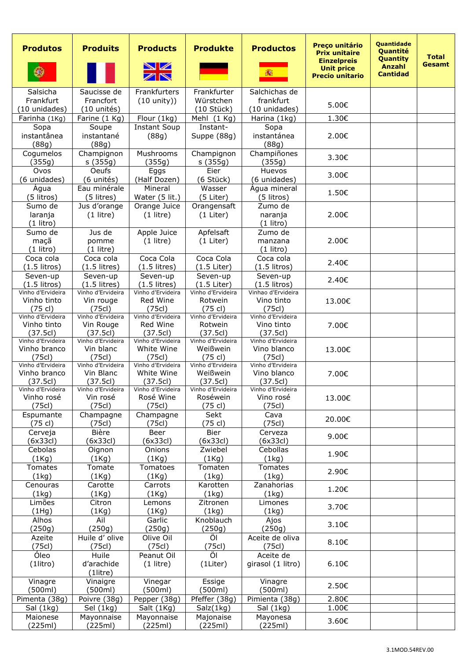| <b>Produtos</b>                  | <b>Produits</b>                | <b>Products</b><br>VZ<br>ZN        | <b>Produkte</b>              | <b>Productos</b><br>譱。           | Preço unitário<br><b>Prix unitaire</b><br><b>Einzelpreis</b><br><b>Unit price</b><br><b>Precio unitario</b> | <b>Quantidade</b><br>Quantité<br><b>Quantity</b><br><b>Anzahl</b><br><b>Cantidad</b> | <b>Total</b><br>Gesamt |
|----------------------------------|--------------------------------|------------------------------------|------------------------------|----------------------------------|-------------------------------------------------------------------------------------------------------------|--------------------------------------------------------------------------------------|------------------------|
| Salsicha                         | Saucisse de                    | Frankfurters                       | Frankfurter                  | Salchichas de                    |                                                                                                             |                                                                                      |                        |
| Frankfurt                        | Francfort                      | $(10 \text{ unity})$               | Würstchen                    | frankfurt                        | 5.00€                                                                                                       |                                                                                      |                        |
| (10 unidades)<br>Farinha (1Kg)   | (10 unités)                    |                                    | (10 Stück)<br>Mehl (1 Kg)    | (10 unidades)                    | 1.30€                                                                                                       |                                                                                      |                        |
| Sopa                             | Farine (1 Kg)<br>Soupe         | Flour (1kg)<br><b>Instant Soup</b> | Instant-                     | Harina (1kg)<br>Sopa             |                                                                                                             |                                                                                      |                        |
| instantânea<br>(88g)             | instantané<br>(88g)            | (88g)                              | Suppe (88g)                  | instantánea<br>(88g)             | 2.00€                                                                                                       |                                                                                      |                        |
| Cogumelos<br>(355g)              | Champignon<br>s(355g)          | Mushrooms<br>(355g)                | Champignon<br>s (355g)       | Champiñones<br>(355g)            | 3.30€                                                                                                       |                                                                                      |                        |
| Ovos<br>(6 unidades)             | <b>Oeufs</b><br>(6 unités)     | Eggs<br>(Half Dozen)               | Eier<br>(6 Stück)            | Huevos<br>(6 unidades)           | 3.00€                                                                                                       |                                                                                      |                        |
| Água<br>(5 litros)               | Eau minérale<br>(5 litres)     | Mineral<br>Water (5 lit.)          | Wasser<br>(5 Liter)          | Água mineral<br>(5 litros)       | 1.50€                                                                                                       |                                                                                      |                        |
| Sumo de                          | Jus d'orange                   | Orange Juice                       | Orangensaft                  | Zumo de                          |                                                                                                             |                                                                                      |                        |
| laranja<br>$(1$ litro)           | $(1$ litre)                    | $(1$ litre)                        | $(1$ Liter)                  | naranja<br>$(1$ litro)           | 2.00€                                                                                                       |                                                                                      |                        |
| Sumo de<br>maçã                  | Jus de<br>pomme                | Apple Juice<br>$(1$ litre)         | Apfelsaft<br>$(1$ Liter)     | Zumo de<br>manzana               | 2.00€                                                                                                       |                                                                                      |                        |
| $(1$ litro)                      | $(1$ litre)                    |                                    |                              | $(1$ litro)                      |                                                                                                             |                                                                                      |                        |
| Coca cola<br>$(1.5$ litros)      | Coca cola<br>$(1.5$ litres)    | Coca Cola<br>$(1.5$ litres)        | Coca Cola<br>$(1.5$ Liter)   | Coca cola<br>$(1.5$ litros)      | 2.40€                                                                                                       |                                                                                      |                        |
| Seven-up                         | Seven-up                       | Seven-up                           | Seven-up                     | Seven-up                         |                                                                                                             |                                                                                      |                        |
| $(1.5$ litros)                   | $(1.5$ litres)                 | $(1.5$ litres)                     | $(1.5$ Liter)                | $(1.5$ litros)                   | 2.40€                                                                                                       |                                                                                      |                        |
| Vinho d'Ervideira<br>Vinho tinto | Vinho d'Ervideira<br>Vin rouge | Vinho d'Ervideira<br>Red Wine      | Vinho d'Ervideira<br>Rotwein | Vinhao d'Ervideira<br>Vino tinto | 13.00€                                                                                                      |                                                                                      |                        |
| $(75$ cl)                        | (75c)                          | (75c)                              | $(75$ cl)                    | (75c)                            |                                                                                                             |                                                                                      |                        |
| Vinho d'Ervideira<br>Vinho tinto | Vinho d'Ervideira<br>Vin Rouge | Vinho d'Ervideira<br>Red Wine      | Vinho d'Ervideira<br>Rotwein | Vinho d'Ervideira<br>Vino tinto  |                                                                                                             |                                                                                      |                        |
| (37.5c)                          | (37.5c)                        | (37.5c)                            | (37.5c)                      | (37.5c)                          | 7.00€                                                                                                       |                                                                                      |                        |
| Vinho d'Ervideira                | Vinho d'Ervideira              | Vinho d'Ervideira                  | Vinho d'Ervideira            | Vinho d'Ervideira                |                                                                                                             |                                                                                      |                        |
| Vinho branco<br>(75c)            | Vin blanc<br>(75c)             | White Wine<br>(75c)                | Weißwein<br>$(75$ cl)        | Vino blanco<br>(75c)             | 13.00€                                                                                                      |                                                                                      |                        |
| Vinho d'Ervideira                | Vinho d'Ervideira              | Vinho d'Ervideira                  | Vinho d'Ervideira            | Vinho d'Ervideira                |                                                                                                             |                                                                                      |                        |
| Vinho branco<br>(37.5c)          | Vin Blanc<br>(37.5c)           | White Wine<br>(37.5c)              | Weißwein<br>(37.5c)          | Vino blanco<br>(37.5c)           | 7.00€                                                                                                       |                                                                                      |                        |
| Vinho d'Ervideira                | Vinho d'Ervideira              | Vinho d'Ervideira                  | Vinho d'Ervideira            | Vinho d'Ervideira                |                                                                                                             |                                                                                      |                        |
| Vinho rosé                       | Vin rosé                       | Rosé Wine                          | Roséwein                     | Vino rosé                        | 13.00€                                                                                                      |                                                                                      |                        |
| (75c)<br>Espumante               | (75c)<br>Champagne             | (75c)<br>Champagne                 | (75 cl)<br>Sekt              | (75cl)<br>Cava                   |                                                                                                             |                                                                                      |                        |
| $(75 \text{ cl})$                | (75c)                          | (75c)                              | (75 cl)                      | (75c)                            | 20.00€                                                                                                      |                                                                                      |                        |
| Cerveja                          | Bière                          | Beer                               | Bier                         | Cerveza                          | 9.00€                                                                                                       |                                                                                      |                        |
| (6x33c)<br>Cebolas               | (6x33c)                        | (6x33c)<br>Onions                  | (6x33c)<br>Zwiebel           | (6x33c)<br>Cebollas              |                                                                                                             |                                                                                      |                        |
| (1Kg)                            | Oignon<br>(1Kg)                | (1Kg)                              | (1Kg)                        | (1kg)                            | 1.90€                                                                                                       |                                                                                      |                        |
| Tomates<br>(1kg)                 | Tomate<br>(1Kg)                | Tomatoes<br>(1Kq)                  | Tomaten<br>(1kg)             | Tomates<br>(1kg)                 | 2.90€                                                                                                       |                                                                                      |                        |
| Cenouras                         | Carotte                        | Carrots                            | Karotten                     | Zanahorias                       | 1.20€                                                                                                       |                                                                                      |                        |
| (1kg)<br>Limões                  | (1Kg)<br>Citron                | (1Kg)<br>Lemons                    | (1kg)<br>Zitronen            | (1kg)<br>Limones                 |                                                                                                             |                                                                                      |                        |
| (1Hg)                            | (1Kg)                          | (1Kg)                              | (1kg)                        | (1kg)                            | 3.70€                                                                                                       |                                                                                      |                        |
| Alhos                            | Ail                            | Garlic                             | Knoblauch                    | Ajos                             | 3.10€                                                                                                       |                                                                                      |                        |
| (250g)<br>Azeite                 | (250g)<br>Huile d' olive       | (250g)<br>Olive Oil                | (250g)<br>Öl                 | (250g)<br>Aceite de oliva        |                                                                                                             |                                                                                      |                        |
| (75c)                            | (75c)                          | (75c)                              | (75cl)                       | (75c)                            | 8.10€                                                                                                       |                                                                                      |                        |
| Óleo                             | Huile                          | Peanut Oil                         | Öl                           | Aceite de                        |                                                                                                             |                                                                                      |                        |
| $(1$ litro)                      | d'arachide<br>(1litre)         | $(1$ litre)                        | (1Liter)                     | girasol (1 litro)                | $6.10 \epsilon$                                                                                             |                                                                                      |                        |
| Vinagre<br>(500ml)               | Vinaigre<br>(500ml)            | Vinegar<br>(500ml)                 | Essige<br>(500ml)            | Vinagre<br>(500ml)               | 2.50€                                                                                                       |                                                                                      |                        |
| Pimenta (38g)                    | Poivre (38g)                   | Pepper (38g)                       | Pfeffer (38g)                | Pimienta (38g)                   | 2.80€                                                                                                       |                                                                                      |                        |
| Sal (1kg)                        | Sel (1kg)                      | Salt (1Kg)                         | Salz(1kg)                    | Sal (1kg)                        | 1.00€                                                                                                       |                                                                                      |                        |
| Maionese                         | Mayonnaise                     | Mayonnaise                         | Majonaise                    | Mayonesa                         | 3.60€                                                                                                       |                                                                                      |                        |
| (225ml)                          | (225ml)                        | (225ml)                            | (225ml)                      | (225ml)                          |                                                                                                             |                                                                                      |                        |